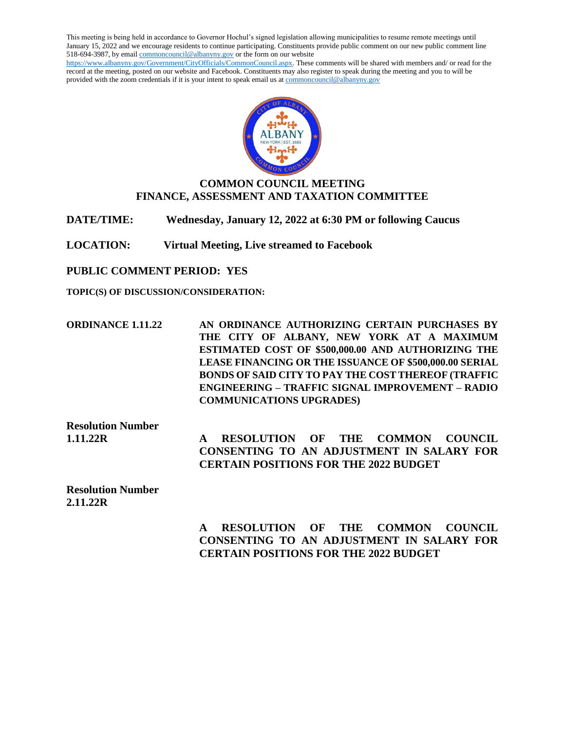This meeting is being held in accordance to Governor Hochul's signed legislation allowing municipalities to resume remote meetings until January 15, 2022 and we encourage residents to continue participating. Constituents provide public comment on our new public comment line 518-694-3987, by emai[l commoncouncil@albanyny.gov](mailto:commoncouncil@albanyny.gov) or the form on our website [https://www.albanyny.gov/Government/CityOfficials/CommonCouncil.aspx.](https://www.albanyny.gov/Government/CityOfficials/CommonCouncil.aspx) These comments will be shared with members and/ or read for the record at the meeting, posted on our website and Facebook. Constituents may also register to speak during the meeting and you to will be provided with the zoom credentials if it is your intent to speak email us a[t commoncouncil@albanyny.gov](mailto:commoncouncil@albanyny.gov)



# **COMMON COUNCIL MEETING FINANCE, ASSESSMENT AND TAXATION COMMITTEE**

**DATE/TIME: Wednesday, January 12, 2022 at 6:30 PM or following Caucus**

**LOCATION: Virtual Meeting, Live streamed to Facebook**

**PUBLIC COMMENT PERIOD: YES**

**TOPIC(S) OF DISCUSSION/CONSIDERATION:**

**ORDINANCE 1.11.22 AN ORDINANCE AUTHORIZING CERTAIN PURCHASES BY THE CITY OF ALBANY, NEW YORK AT A MAXIMUM ESTIMATED COST OF \$500,000.00 AND AUTHORIZING THE LEASE FINANCING OR THE ISSUANCE OF \$500,000.00 SERIAL BONDS OF SAID CITY TO PAY THE COST THEREOF (TRAFFIC ENGINEERING – TRAFFIC SIGNAL IMPROVEMENT – RADIO COMMUNICATIONS UPGRADES)**

**Resolution Number** 

**1.11.22R A RESOLUTION OF THE COMMON COUNCIL CONSENTING TO AN ADJUSTMENT IN SALARY FOR CERTAIN POSITIONS FOR THE 2022 BUDGET**

**Resolution Number 2.11.22R** 

> **A RESOLUTION OF THE COMMON COUNCIL CONSENTING TO AN ADJUSTMENT IN SALARY FOR CERTAIN POSITIONS FOR THE 2022 BUDGET**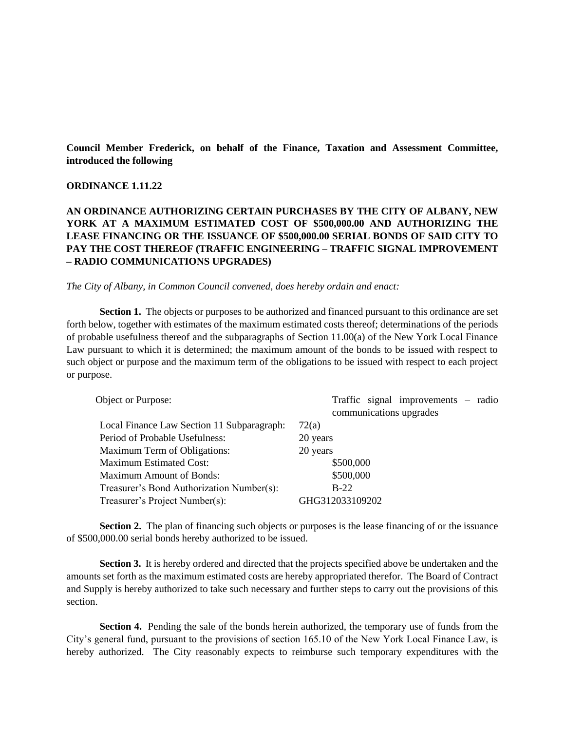**Council Member Frederick, on behalf of the Finance, Taxation and Assessment Committee, introduced the following**

#### **ORDINANCE 1.11.22**

## **AN ORDINANCE AUTHORIZING CERTAIN PURCHASES BY THE CITY OF ALBANY, NEW YORK AT A MAXIMUM ESTIMATED COST OF \$500,000.00 AND AUTHORIZING THE LEASE FINANCING OR THE ISSUANCE OF \$500,000.00 SERIAL BONDS OF SAID CITY TO PAY THE COST THEREOF (TRAFFIC ENGINEERING – TRAFFIC SIGNAL IMPROVEMENT – RADIO COMMUNICATIONS UPGRADES)**

*The City of Albany, in Common Council convened, does hereby ordain and enact:*

**Section 1.** The objects or purposes to be authorized and financed pursuant to this ordinance are set forth below, together with estimates of the maximum estimated costs thereof; determinations of the periods of probable usefulness thereof and the subparagraphs of Section 11.00(a) of the New York Local Finance Law pursuant to which it is determined; the maximum amount of the bonds to be issued with respect to such object or purpose and the maximum term of the obligations to be issued with respect to each project or purpose.

| Object or Purpose:                         | Traffic signal improvements $-$ radio |
|--------------------------------------------|---------------------------------------|
|                                            | communications upgrades               |
| Local Finance Law Section 11 Subparagraph: | 72(a)                                 |
| Period of Probable Usefulness:             | 20 years                              |
| <b>Maximum Term of Obligations:</b>        | 20 years                              |
| <b>Maximum Estimated Cost:</b>             | \$500,000                             |
| <b>Maximum Amount of Bonds:</b>            | \$500,000                             |
| Treasurer's Bond Authorization Number(s):  | $B-22$                                |
| Treasurer's Project Number(s):             | GHG312033109202                       |

**Section 2.** The plan of financing such objects or purposes is the lease financing of or the issuance of \$500,000.00 serial bonds hereby authorized to be issued.

**Section 3.** It is hereby ordered and directed that the projects specified above be undertaken and the amounts set forth as the maximum estimated costs are hereby appropriated therefor. The Board of Contract and Supply is hereby authorized to take such necessary and further steps to carry out the provisions of this section.

**Section 4.** Pending the sale of the bonds herein authorized, the temporary use of funds from the City's general fund, pursuant to the provisions of section 165.10 of the New York Local Finance Law, is hereby authorized. The City reasonably expects to reimburse such temporary expenditures with the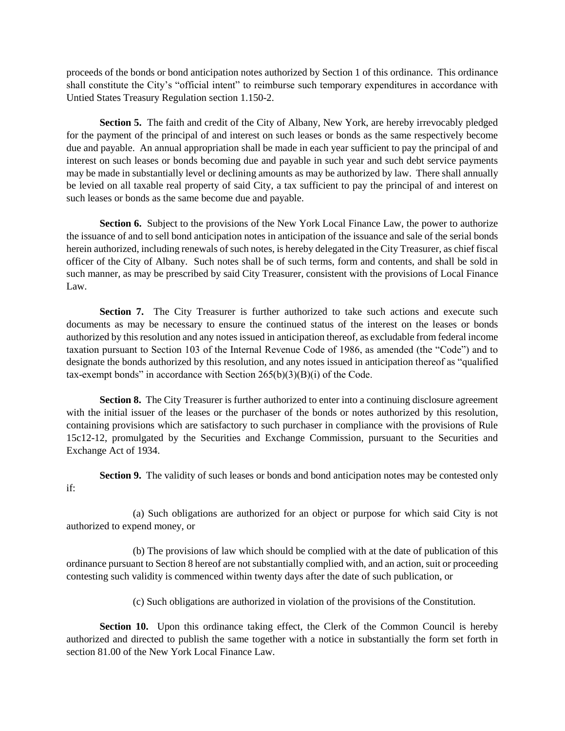proceeds of the bonds or bond anticipation notes authorized by Section 1 of this ordinance. This ordinance shall constitute the City's "official intent" to reimburse such temporary expenditures in accordance with Untied States Treasury Regulation section 1.150-2.

**Section 5.** The faith and credit of the City of Albany, New York, are hereby irrevocably pledged for the payment of the principal of and interest on such leases or bonds as the same respectively become due and payable. An annual appropriation shall be made in each year sufficient to pay the principal of and interest on such leases or bonds becoming due and payable in such year and such debt service payments may be made in substantially level or declining amounts as may be authorized by law. There shall annually be levied on all taxable real property of said City, a tax sufficient to pay the principal of and interest on such leases or bonds as the same become due and payable.

**Section 6.** Subject to the provisions of the New York Local Finance Law, the power to authorize the issuance of and to sell bond anticipation notes in anticipation of the issuance and sale of the serial bonds herein authorized, including renewals of such notes, is hereby delegated in the City Treasurer, as chief fiscal officer of the City of Albany. Such notes shall be of such terms, form and contents, and shall be sold in such manner, as may be prescribed by said City Treasurer, consistent with the provisions of Local Finance Law.

**Section 7.** The City Treasurer is further authorized to take such actions and execute such documents as may be necessary to ensure the continued status of the interest on the leases or bonds authorized by this resolution and any notes issued in anticipation thereof, as excludable from federal income taxation pursuant to Section 103 of the Internal Revenue Code of 1986, as amended (the "Code") and to designate the bonds authorized by this resolution, and any notes issued in anticipation thereof as "qualified tax-exempt bonds" in accordance with Section  $265(b)(3)(B)(i)$  of the Code.

**Section 8.** The City Treasurer is further authorized to enter into a continuing disclosure agreement with the initial issuer of the leases or the purchaser of the bonds or notes authorized by this resolution, containing provisions which are satisfactory to such purchaser in compliance with the provisions of Rule 15c12-12, promulgated by the Securities and Exchange Commission, pursuant to the Securities and Exchange Act of 1934.

**Section 9.** The validity of such leases or bonds and bond anticipation notes may be contested only if:

(a) Such obligations are authorized for an object or purpose for which said City is not authorized to expend money, or

(b) The provisions of law which should be complied with at the date of publication of this ordinance pursuant to Section 8 hereof are not substantially complied with, and an action, suit or proceeding contesting such validity is commenced within twenty days after the date of such publication, or

(c) Such obligations are authorized in violation of the provisions of the Constitution.

**Section 10.** Upon this ordinance taking effect, the Clerk of the Common Council is hereby authorized and directed to publish the same together with a notice in substantially the form set forth in section 81.00 of the New York Local Finance Law.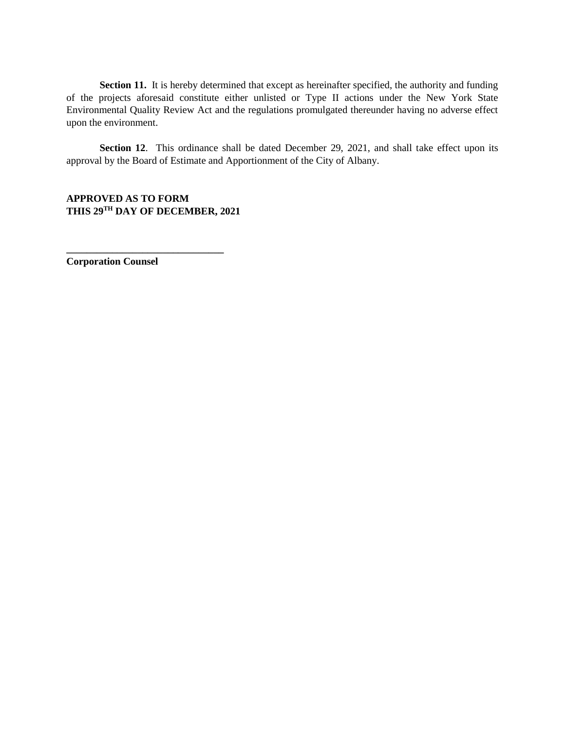**Section 11.** It is hereby determined that except as hereinafter specified, the authority and funding of the projects aforesaid constitute either unlisted or Type II actions under the New York State Environmental Quality Review Act and the regulations promulgated thereunder having no adverse effect upon the environment.

Section 12. This ordinance shall be dated December 29, 2021, and shall take effect upon its approval by the Board of Estimate and Apportionment of the City of Albany.

**APPROVED AS TO FORM THIS 29TH DAY OF DECEMBER, 2021**

**\_\_\_\_\_\_\_\_\_\_\_\_\_\_\_\_\_\_\_\_\_\_\_\_\_\_\_\_\_\_\_**

**Corporation Counsel**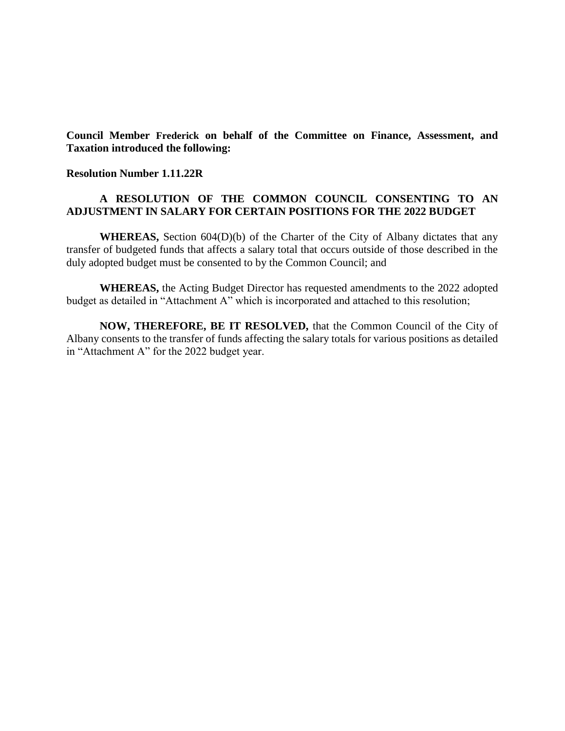**Council Member Frederick on behalf of the Committee on Finance, Assessment, and Taxation introduced the following:**

**Resolution Number 1.11.22R** 

## **A RESOLUTION OF THE COMMON COUNCIL CONSENTING TO AN ADJUSTMENT IN SALARY FOR CERTAIN POSITIONS FOR THE 2022 BUDGET**

**WHEREAS,** Section 604(D)(b) of the Charter of the City of Albany dictates that any transfer of budgeted funds that affects a salary total that occurs outside of those described in the duly adopted budget must be consented to by the Common Council; and

**WHEREAS,** the Acting Budget Director has requested amendments to the 2022 adopted budget as detailed in "Attachment A" which is incorporated and attached to this resolution;

**NOW, THEREFORE, BE IT RESOLVED,** that the Common Council of the City of Albany consents to the transfer of funds affecting the salary totals for various positions as detailed in "Attachment A" for the 2022 budget year.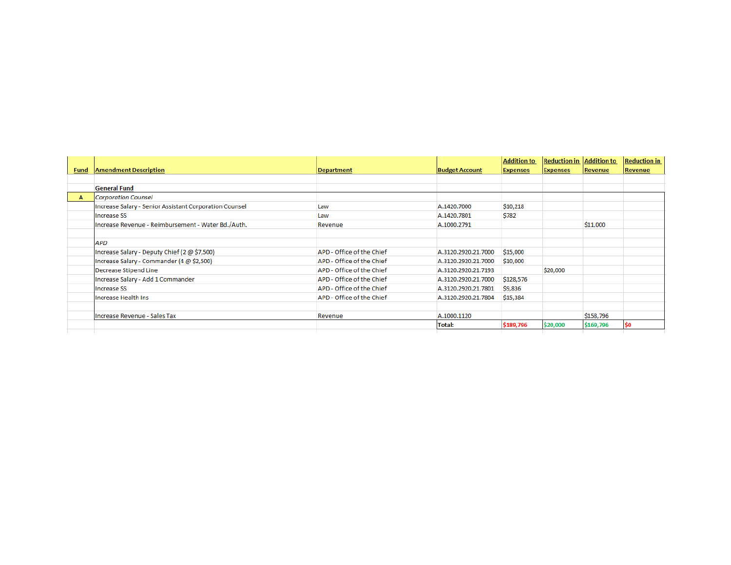| <b>Fund</b> | <b>Amendment Description</b>                           |                           |                       | <b>Addition to</b><br><b>Expenses</b> | <b>Reduction in Addition to</b><br><b>Expenses</b> | Revenue   | <b>Reduction in</b><br>Revenue |
|-------------|--------------------------------------------------------|---------------------------|-----------------------|---------------------------------------|----------------------------------------------------|-----------|--------------------------------|
|             |                                                        | <b>Department</b>         | <b>Budget Account</b> |                                       |                                                    |           |                                |
|             | <b>General Fund</b>                                    |                           |                       |                                       |                                                    |           |                                |
| A           | Corporation Counsel                                    |                           |                       |                                       |                                                    |           |                                |
|             | Increase Salary - Senior Assistant Corporation Counsel | Law                       | A.1420.7000           | \$10,218                              |                                                    |           |                                |
|             | <b>Increase SS</b>                                     | Law                       | A.1420.7801           | \$782                                 |                                                    |           |                                |
|             | Increase Revenue - Reimbursement - Water Bd./Auth.     | Revenue                   | A.1000.2791           |                                       |                                                    | \$11,000  |                                |
|             | APD                                                    |                           |                       |                                       |                                                    |           |                                |
|             | Increase Salary - Deputy Chief (2 @ \$7,500)           | APD - Office of the Chief | A.3120.2920.21.7000   | \$15,000                              |                                                    |           |                                |
|             | Increase Salary - Commander (4 @ \$2,500)              | APD - Office of the Chief | A.3120.2920.21.7000   | \$10,000                              |                                                    |           |                                |
|             | Decrease Stipend Line                                  | APD - Office of the Chief | A.3120.2920.21.7193   |                                       | \$20,000                                           |           |                                |
|             | Increase Salary - Add 1 Commander                      | APD - Office of the Chief | A.3120.2920.21.7000   | \$128,576                             |                                                    |           |                                |
|             | <b>Increase SS</b>                                     | APD - Office of the Chief | A.3120.2920.21.7801   | \$9,836                               |                                                    |           |                                |
|             | Increase Health Ins                                    | APD - Office of the Chief | A.3120.2920.21.7804   | \$15,384                              |                                                    |           |                                |
|             | Increase Revenue - Sales Tax                           | Revenue                   | A.1000.1120           |                                       |                                                    | \$158,796 |                                |
|             |                                                        |                           | Total:                | \$189,796                             | \$20,000                                           | \$169,796 | \$0                            |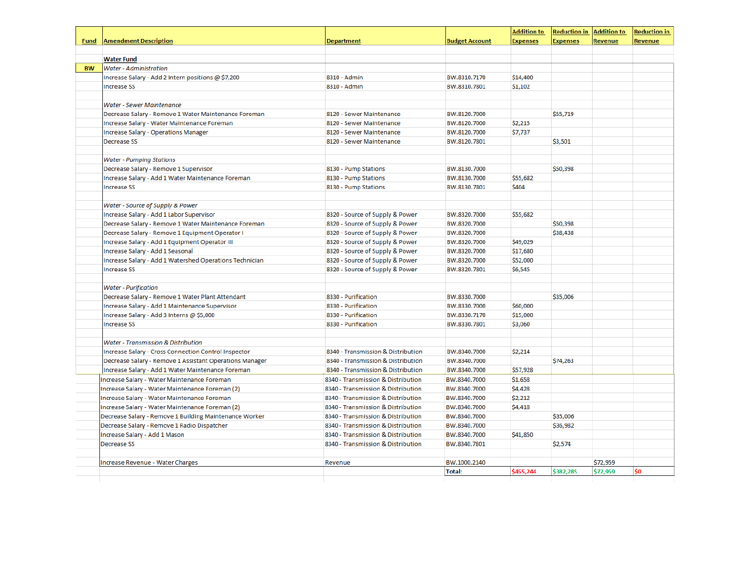|           |                                                         |                                    |                              | <b>Addition to</b> | <b>Reduction in</b> | <b>Addition to</b> | <b>Reduction in</b> |
|-----------|---------------------------------------------------------|------------------------------------|------------------------------|--------------------|---------------------|--------------------|---------------------|
| Fund      | <b>Amendment Description</b>                            | <b>Department</b>                  | <b>Budget Account</b>        | <b>Expenses</b>    | <b>Expenses</b>     | <b>Revenue</b>     | <b>Revenue</b>      |
|           | <b>Water Fund</b>                                       |                                    |                              |                    |                     |                    |                     |
| <b>BW</b> | <b>Water - Administration</b>                           |                                    |                              |                    |                     |                    |                     |
|           | Increase Salary - Add 2 Intern positions @ \$7,200      | 8310 - Admin                       | BW.8310.7170                 | \$14,400           |                     |                    |                     |
|           | Increase SS                                             | 8310 - Admin                       | BW.8310.7801                 | \$1,102            |                     |                    |                     |
|           |                                                         |                                    |                              |                    |                     |                    |                     |
|           | <b>Water - Sewer Maintenance</b>                        |                                    |                              |                    |                     |                    |                     |
|           | Decrease Salary - Remove 1 Water Maintenance Foreman    | 8120 - Sewer Maintenance           | BW.8120.7000                 |                    | \$55,719            |                    |                     |
|           | Increase Salary - Water Maintenance Foreman             | 8120 - Sewer Maintenance           | BW.8120.7000                 | \$2,215            |                     |                    |                     |
|           | Increase Salary - Operations Manager                    | 8120 - Sewer Maintenance           | BW.8120.7000                 | \$7,737            |                     |                    |                     |
|           | <b>Decrease SS</b>                                      | 8120 - Sewer Maintenance           | BW.8120.7801                 |                    | \$3,501             |                    |                     |
|           | <b>Water - Pumping Stations</b>                         |                                    |                              |                    |                     |                    |                     |
|           | Decrease Salary - Remove 1 Supervisor                   | 8130 - Pump Stations               | BW.8130.7000                 |                    | \$50,398            |                    |                     |
|           | Increase Salary - Add 1 Water Maintenance Foreman       | 8130 - Pump Stations               | BW.8130.7000                 | \$55,682           |                     |                    |                     |
|           | <b>Increase SS</b>                                      | 8130 - Pump Stations               | BW.8130.7801                 | \$404              |                     |                    |                     |
|           |                                                         |                                    |                              |                    |                     |                    |                     |
|           | Water - Source of Supply & Power                        |                                    |                              |                    |                     |                    |                     |
|           | Increase Salary - Add 1 Labor Supervisor                | 8320 - Source of Supply & Power    | BW.8320.7000                 | \$55,682           |                     |                    |                     |
|           | Decrease Salary - Remove 1 Water Maintenance Foreman    | 8320 - Source of Supply & Power    | BW.8320.7000                 |                    | \$50,398            |                    |                     |
|           | Decrease Salary - Remove 1 Equipment Operator I         | 8320 - Source of Supply & Power    | BW.8320.7000                 |                    | \$38,438            |                    |                     |
|           | Increase Salary - Add 1 Equipment Operator III          | 8320 - Source of Supply & Power    | BW.8320.7000                 | \$49,029           |                     |                    |                     |
|           | Increase Salary - Add 1 Seasonal                        | 8320 - Source of Supply & Power    | BW.8320.7000                 | \$17,680           |                     |                    |                     |
|           | Increase Salary - Add 1 Watershed Operations Technician | 8320 - Source of Supply & Power    | BW.8320.7000                 | \$52,000           |                     |                    |                     |
|           | <b>Increase SS</b>                                      | 8320 - Source of Supply & Power    | BW.8320.7801                 | \$6,545            |                     |                    |                     |
|           | <b>Water - Purification</b>                             |                                    |                              |                    |                     |                    |                     |
|           | Decrease Salary - Remove 1 Water Plant Attendant        | 8330 - Purification                | BW.8330.7000                 |                    | \$35,006            |                    |                     |
|           | Increase Salary - Add 1 Maintenance Supervisor          | 8330 - Purification                | BW.8330.7000                 | \$60,000           |                     |                    |                     |
|           | Increase Salary - Add 3 Interns @ \$5,000               | 8330 - Purification                | BW.8330.7170                 | \$15,000           |                     |                    |                     |
|           | <b>Increase SS</b>                                      | 8330 - Purification                | BW.8330.7801                 | \$3,060            |                     |                    |                     |
|           |                                                         |                                    |                              |                    |                     |                    |                     |
|           | <b>Water - Transmission &amp; Distribution</b>          |                                    |                              |                    |                     |                    |                     |
|           | Increase Salary - Cross Connection Control Inspector    | 8340 - Transmission & Distribution | BW.8340.7000<br>BW.8340.7000 | \$2,214            |                     |                    |                     |
|           | Decrease Salary - Remove 1 Assistant Operations Manager | 8340 - Transmission & Distribution |                              |                    | \$74,263            |                    |                     |
|           | Increase Salary - Add 1 Water Maintenance Foreman       | 8340 - Transmission & Distribution | BW.8340.7000                 | \$57,928           |                     |                    |                     |
|           | Increase Salary - Water Maintenance Foreman             | 8340 - Transmission & Distribution | BW.8340.7000                 | \$1,658            |                     |                    |                     |
|           | Increase Salary - Water Maintenance Foreman (2)         | 8340 - Transmission & Distribution | BW.8340.7000                 | \$4,428            |                     |                    |                     |
|           | Increase Salary - Water Maintenance Foreman             | 8340 - Transmission & Distribution | BW.8340.7000                 | \$2,212            |                     |                    |                     |
|           | Increase Salary - Water Maintenance Foreman (2)         | 8340 - Transmission & Distribution | BW.8340.7000                 | \$4,418            |                     |                    |                     |
|           | Decrease Salary - Remove 1 Building Maintenance Worker  | 8340 - Transmission & Distribution | BW.8340.7000                 |                    | \$35,006            |                    |                     |
|           | Decrease Salary - Remove 1 Radio Dispatcher             | 8340 - Transmission & Distribution | BW.8340.7000                 |                    | \$36,982            |                    |                     |
|           | Increase Salary - Add 1 Mason                           | 8340 - Transmission & Distribution | BW.8340.7000                 | \$41,850           |                     |                    |                     |
|           | <b>Decrease SS</b>                                      | 8340 - Transmission & Distribution | BW.8340.7801                 |                    | \$2,574             |                    |                     |
|           | Increase Revenue - Water Charges                        | Revenue                            | BW.1000.2140                 |                    |                     | \$72,959           |                     |
|           |                                                         |                                    | Total:                       | \$455,244          | \$382,285           | \$72,959           | \$0                 |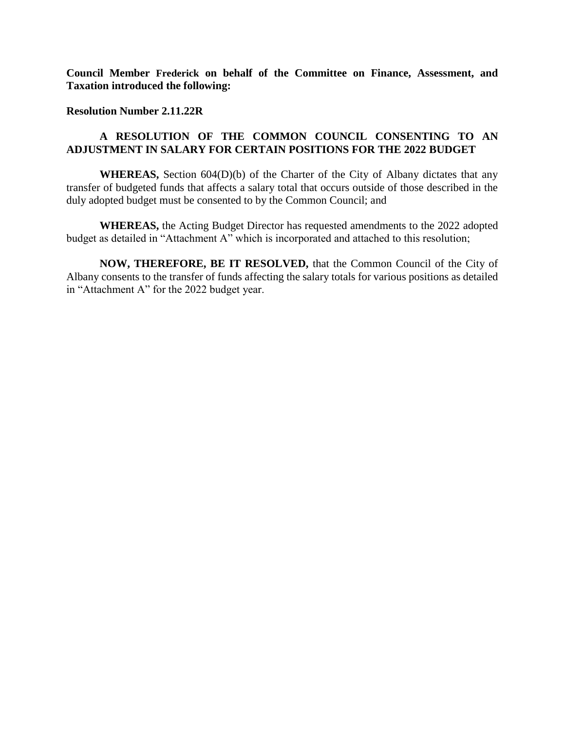**Council Member Frederick on behalf of the Committee on Finance, Assessment, and Taxation introduced the following:**

### **Resolution Number 2.11.22R**

# **A RESOLUTION OF THE COMMON COUNCIL CONSENTING TO AN ADJUSTMENT IN SALARY FOR CERTAIN POSITIONS FOR THE 2022 BUDGET**

**WHEREAS,** Section 604(D)(b) of the Charter of the City of Albany dictates that any transfer of budgeted funds that affects a salary total that occurs outside of those described in the duly adopted budget must be consented to by the Common Council; and

**WHEREAS,** the Acting Budget Director has requested amendments to the 2022 adopted budget as detailed in "Attachment A" which is incorporated and attached to this resolution;

**NOW, THEREFORE, BE IT RESOLVED,** that the Common Council of the City of Albany consents to the transfer of funds affecting the salary totals for various positions as detailed in "Attachment A" for the 2022 budget year.